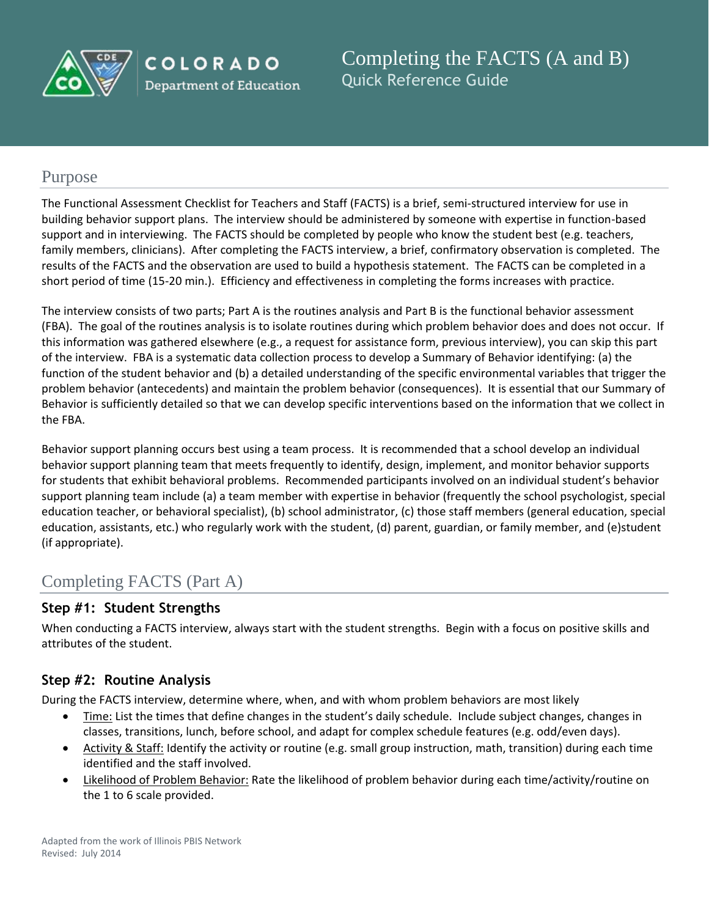

COLORADO **Department of Education**  Completing the FACTS (A and B) Quick Reference Guide

# Purpose

The Functional Assessment Checklist for Teachers and Staff (FACTS) is a brief, semi-structured interview for use in building behavior support plans. The interview should be administered by someone with expertise in function-based support and in interviewing. The FACTS should be completed by people who know the student best (e.g. teachers, family members, clinicians). After completing the FACTS interview, a brief, confirmatory observation is completed. The results of the FACTS and the observation are used to build a hypothesis statement. The FACTS can be completed in a short period of time (15-20 min.). Efficiency and effectiveness in completing the forms increases with practice.

The interview consists of two parts; Part A is the routines analysis and Part B is the functional behavior assessment (FBA). The goal of the routines analysis is to isolate routines during which problem behavior does and does not occur. If this information was gathered elsewhere (e.g., a request for assistance form, previous interview), you can skip this part of the interview. FBA is a systematic data collection process to develop a Summary of Behavior identifying: (a) the function of the student behavior and (b) a detailed understanding of the specific environmental variables that trigger the problem behavior (antecedents) and maintain the problem behavior (consequences). It is essential that our Summary of Behavior is sufficiently detailed so that we can develop specific interventions based on the information that we collect in the FBA.

Behavior support planning occurs best using a team process. It is recommended that a school develop an individual behavior support planning team that meets frequently to identify, design, implement, and monitor behavior supports for students that exhibit behavioral problems. Recommended participants involved on an individual student's behavior support planning team include (a) a team member with expertise in behavior (frequently the school psychologist, special education teacher, or behavioral specialist), (b) school administrator, (c) those staff members (general education, special education, assistants, etc.) who regularly work with the student, (d) parent, guardian, or family member, and (e)student (if appropriate).

# Completing FACTS (Part A)

# **Step #1: Student Strengths**

When conducting a FACTS interview, always start with the student strengths. Begin with a focus on positive skills and attributes of the student.

# **Step #2: Routine Analysis**

During the FACTS interview, determine where, when, and with whom problem behaviors are most likely

- Time: List the times that define changes in the student's daily schedule. Include subject changes, changes in classes, transitions, lunch, before school, and adapt for complex schedule features (e.g. odd/even days).
- Activity & Staff: Identify the activity or routine (e.g. small group instruction, math, transition) during each time identified and the staff involved.
- Likelihood of Problem Behavior: Rate the likelihood of problem behavior during each time/activity/routine on the 1 to 6 scale provided.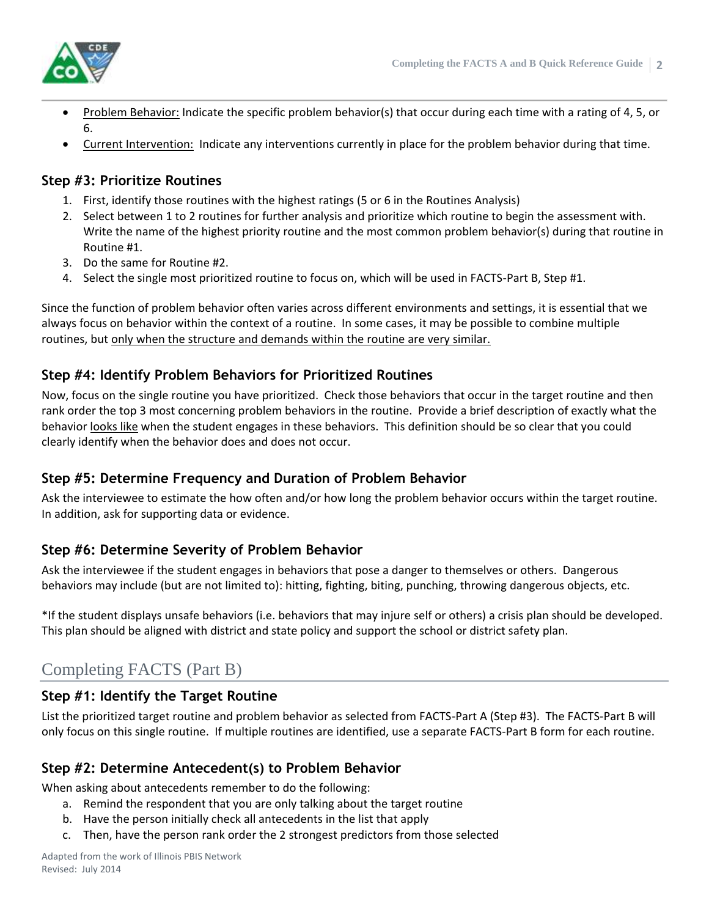

- Problem Behavior: Indicate the specific problem behavior(s) that occur during each time with a rating of 4, 5, or 6.
- Current Intervention: Indicate any interventions currently in place for the problem behavior during that time.

# **Step #3: Prioritize Routines**

- 1. First, identify those routines with the highest ratings (5 or 6 in the Routines Analysis)
- 2. Select between 1 to 2 routines for further analysis and prioritize which routine to begin the assessment with. Write the name of the highest priority routine and the most common problem behavior(s) during that routine in Routine #1.
- 3. Do the same for Routine #2.
- 4. Select the single most prioritized routine to focus on, which will be used in FACTS-Part B, Step #1.

Since the function of problem behavior often varies across different environments and settings, it is essential that we always focus on behavior within the context of a routine. In some cases, it may be possible to combine multiple routines, but only when the structure and demands within the routine are very similar.

# **Step #4: Identify Problem Behaviors for Prioritized Routines**

Now, focus on the single routine you have prioritized. Check those behaviors that occur in the target routine and then rank order the top 3 most concerning problem behaviors in the routine. Provide a brief description of exactly what the behavior looks like when the student engages in these behaviors. This definition should be so clear that you could clearly identify when the behavior does and does not occur.

# **Step #5: Determine Frequency and Duration of Problem Behavior**

Ask the interviewee to estimate the how often and/or how long the problem behavior occurs within the target routine. In addition, ask for supporting data or evidence.

# **Step #6: Determine Severity of Problem Behavior**

Ask the interviewee if the student engages in behaviors that pose a danger to themselves or others. Dangerous behaviors may include (but are not limited to): hitting, fighting, biting, punching, throwing dangerous objects, etc.

\*If the student displays unsafe behaviors (i.e. behaviors that may injure self or others) a crisis plan should be developed. This plan should be aligned with district and state policy and support the school or district safety plan.

# Completing FACTS (Part B)

# **Step #1: Identify the Target Routine**

List the prioritized target routine and problem behavior as selected from FACTS-Part A (Step #3). The FACTS-Part B will only focus on this single routine. If multiple routines are identified, use a separate FACTS-Part B form for each routine.

# **Step #2: Determine Antecedent(s) to Problem Behavior**

When asking about antecedents remember to do the following:

- a. Remind the respondent that you are only talking about the target routine
- b. Have the person initially check all antecedents in the list that apply
- c. Then, have the person rank order the 2 strongest predictors from those selected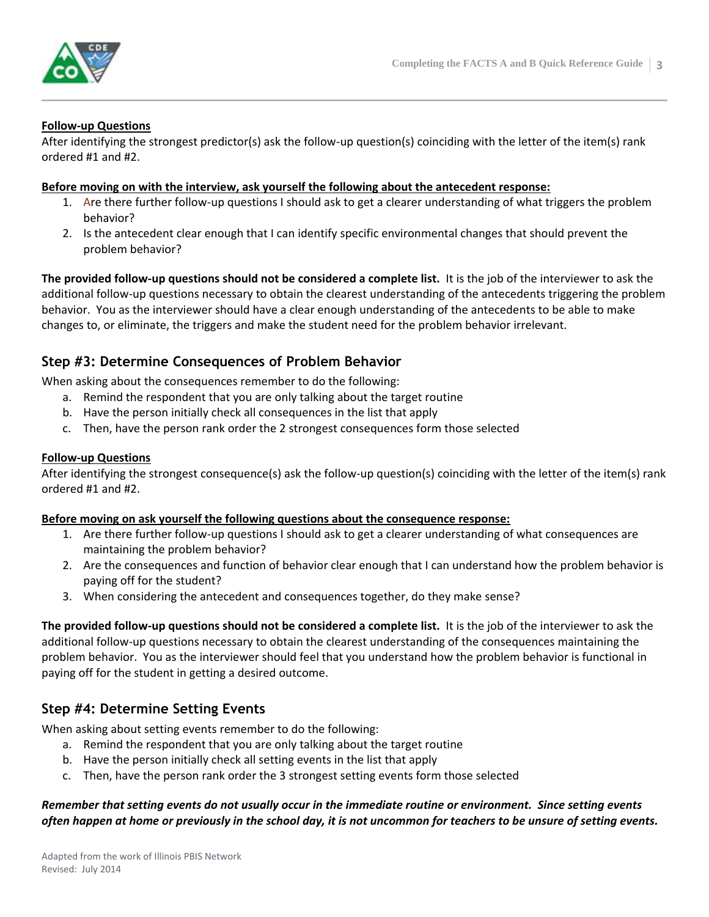

## **Follow-up Questions**

After identifying the strongest predictor(s) ask the follow-up question(s) coinciding with the letter of the item(s) rank ordered #1 and #2.

#### **Before moving on with the interview, ask yourself the following about the antecedent response:**

- 1. Are there further follow-up questions I should ask to get a clearer understanding of what triggers the problem behavior?
- 2. Is the antecedent clear enough that I can identify specific environmental changes that should prevent the problem behavior?

**The provided follow-up questions should not be considered a complete list.** It is the job of the interviewer to ask the additional follow-up questions necessary to obtain the clearest understanding of the antecedents triggering the problem behavior. You as the interviewer should have a clear enough understanding of the antecedents to be able to make changes to, or eliminate, the triggers and make the student need for the problem behavior irrelevant.

## **Step #3: Determine Consequences of Problem Behavior**

When asking about the consequences remember to do the following:

- a. Remind the respondent that you are only talking about the target routine
- b. Have the person initially check all consequences in the list that apply
- c. Then, have the person rank order the 2 strongest consequences form those selected

### **Follow-up Questions**

After identifying the strongest consequence(s) ask the follow-up question(s) coinciding with the letter of the item(s) rank ordered #1 and #2.

## **Before moving on ask yourself the following questions about the consequence response:**

- 1. Are there further follow-up questions I should ask to get a clearer understanding of what consequences are maintaining the problem behavior?
- 2. Are the consequences and function of behavior clear enough that I can understand how the problem behavior is paying off for the student?
- 3. When considering the antecedent and consequences together, do they make sense?

**The provided follow-up questions should not be considered a complete list.** It is the job of the interviewer to ask the additional follow-up questions necessary to obtain the clearest understanding of the consequences maintaining the problem behavior. You as the interviewer should feel that you understand how the problem behavior is functional in paying off for the student in getting a desired outcome.

## **Step #4: Determine Setting Events**

When asking about setting events remember to do the following:

- a. Remind the respondent that you are only talking about the target routine
- b. Have the person initially check all setting events in the list that apply
- c. Then, have the person rank order the 3 strongest setting events form those selected

## *Remember that setting events do not usually occur in the immediate routine or environment. Since setting events often happen at home or previously in the school day, it is not uncommon for teachers to be unsure of setting events.*